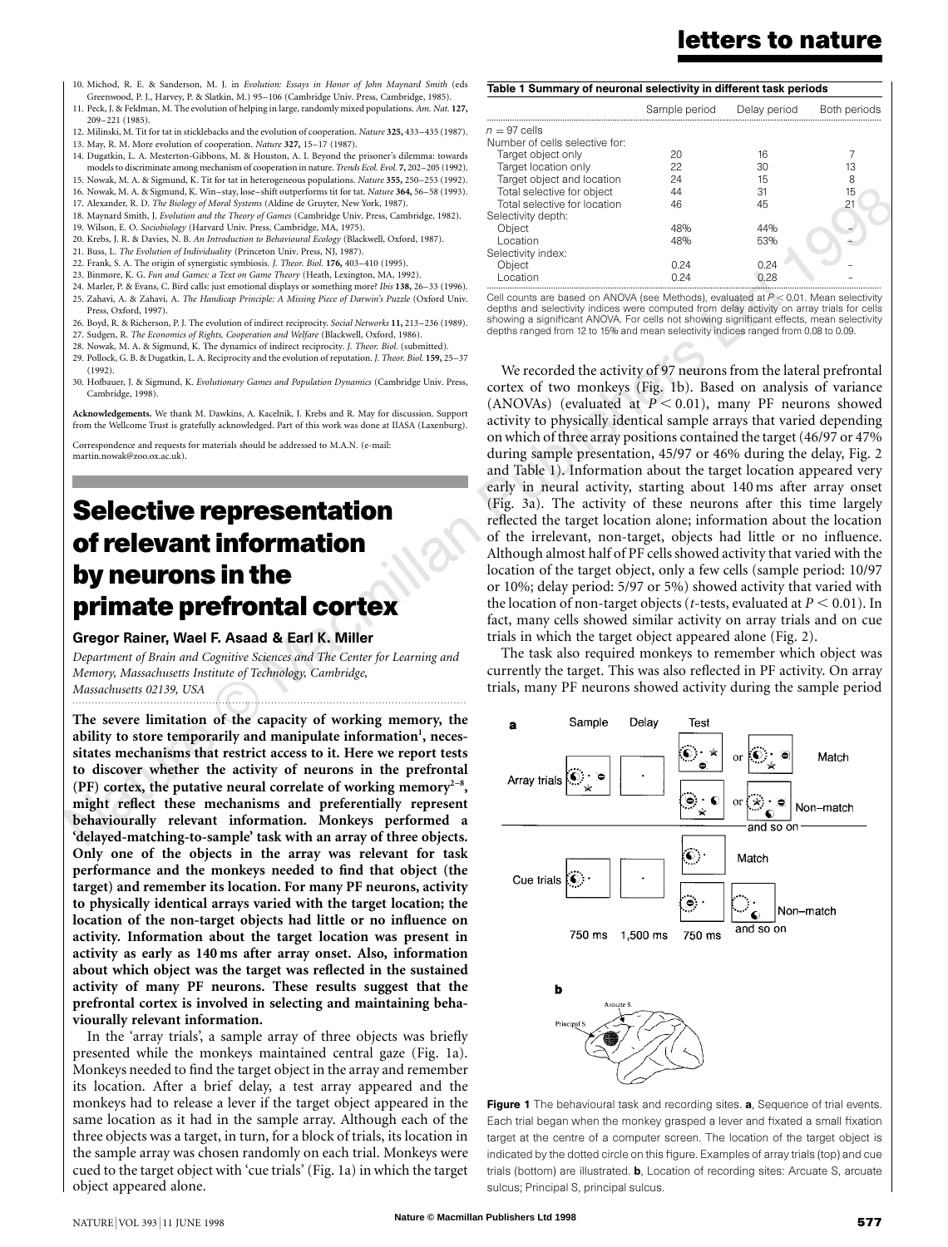## **letters to nature**

- 10. Michod, R. E. & Sanderson, M. J. in *Evolution: Essays in Honor of John Maynard Smith* (eds Greenwood, P. J., Harvey, P. & Slatkin, M.) 95–106 (Cambridge Univ. Press, Cambridge, 1985).
- 11. Peck, J. & Feldman, M. The evolution of helping in large, randomly mixed populations. *Am. Nat.* **127,** 209–221 (1985).
- 12. Milinski, M. Tit for tat in sticklebacks and the evolution of cooperation. *Nature* **325,** 433–435 (1987).
- 13. May, R. M. More evolution of cooperation. *Nature* **327,** 15–17 (1987). 14. Dugatkin, L. A. Mesterton-Gibbons, M. & Houston, A. I. Beyond the prisoner's dilemma: towards models to discriminate among mechanism of cooperation in nature. *Trends Ecol. Evol.* **7,** 202–205 (1992).
- 15. Nowak, M. A. & Sigmund, K. Tit for tat in heterogeneous populations. *Nature* **355,** 250–253 (1992). 16. Nowak, M. A. & Sigmund, K. Win–stay, lose–shift outperforms tit for tat. *Nature* **364,** 56–58 (1993).
- 17. Alexander, R. D. *The Biology of Moral Systems* (Aldine de Gruyter, New York, 1987).
- 18. Maynard Smith, J. *Evolution and the Theory of Games* (Cambridge Univ. Press, Cambridge, 1982).
- 19. Wilson, E. O. *Sociobiology* (Harvard Univ. Press, Cambridge, MA, 1975).
- 20. Krebs, J. R. & Davies, N. B. *An Introduction to Behavioural Ecology* (Blackwell, Oxford, 1987).
- 21. Buss, L. *The Evolution of Individuality* (Princeton Univ. Press, NJ, 1987).
- 22. Frank, S. A. The origin of synergistic symbiosis. *J. Theor. Biol.* **176,** 403–410 (1995). 23. Binmore, K. G. *Fun and Games: a Text on Game Theory* (Heath, Lexington, MA, 1992).
- 24. Marler, P. & Evans, C. Bird calls: just emotional displays or something more? *Ibis* **138,** 26–33 (1996). 25. Zahavi, A. & Zahavi, A. *The Handicap Principle: A Missing Piece of Darwin's Puzzle* (Oxford Univ.
- Press, Oxford, 1997).
- 26. Boyd, R. & Richerson, P. J. The evolution of indirect reciprocity. *Social Networks* **11,** 213–236 (1989).
- 27. Sudgen, R. *The Economics of Rights, Cooperation and Welfare* (Blackwell, Oxford, 1986). 28. Nowak, M. A. & Sigmund, K. The dynamics of indirect reciprocity. *J. Theor. Biol.* (submitted).
- 29. Pollock, G. B. & Dugatkin, L. A. Reciprocity and the evolution of reputation. *J. Theor. Biol.* **159,** 25–37
- (1992). 30. Hofbauer, J. & Sigmund, K. *Evolutionary Games and Population Dynamics* (Cambridge Univ. Press, Cambridge, 1998).

**Acknowledgements.** We thank M. Dawkins, A. Kacelnik, J. Krebs and R. May for discussion. Support from the Wellcome Trust is gratefully acknowledged. Part of this work was done at IIASA (Laxenburg).

Correspondence and requests for materials should be addressed to M.A.N. (e-mail: martin.nowak@zoo.ox.ac.uk).

## **Selective representation of relevant information by neurons in the primate prefrontal cortex**

### Gregor Rainer, Wael F. Asaad & Earl K. Miller

*Department of Brain and Cognitive Sciences and The Center for Learning and Memory, Massachusetts Institute of Technology, Cambridge, Massachusetts 02139, USA .........................................................................................................................*

**The severe limitation of the capacity of working memory, the** ability to store temporarily and manipulate information<sup>1</sup>, neces**sitates mechanisms that restrict access to it. Here we report tests to discover whether the activity of neurons in the prefrontal (PF) cortex, the putative neural correlate of working memory2–8, might reflect these mechanisms and preferentially represent behaviourally relevant information. Monkeys performed a 'delayed-matching-to-sample' task with an array of three objects. Only one of the objects in the array was relevant for task performance and the monkeys needed to find that object (the target) and remember its location. For many PF neurons, activity to physically identical arrays varied with the target location; the location of the non-target objects had little or no influence on activity. Information about the target location was present in activity as early as 140 ms after array onset. Also, information about which object was the target was reflected in the sustained activity of many PF neurons. These results suggest that the prefrontal cortex is involved in selecting and maintaining behaviourally relevant information.**

In the 'array trials', a sample array of three objects was briefly presented while the monkeys maintained central gaze (Fig. 1a). Monkeys needed to find the target object in the array and remember its location. After a brief delay, a test array appeared and the monkeys had to release a lever if the target object appeared in the same location as it had in the sample array. Although each of the three objects was a target, in turn, for a block of trials, its location in the sample array was chosen randomly on each trial. Monkeys were cued to the target object with 'cue trials' (Fig. 1a) in which the target object appeared alone.

| Table 1 Summary of neuronal selectivity in different task periods |               |              |              |
|-------------------------------------------------------------------|---------------|--------------|--------------|
|                                                                   | Sample period | Delay period | Both periods |
| $n = 97$ cells                                                    |               |              |              |
| Number of cells selective for:                                    |               |              |              |
| Target object only                                                | 20            | 16           |              |
| Target location only                                              | 22            | 30           | 13           |
| Target object and location                                        | 24            | 15           | 8            |
| Total selective for object                                        | 44            | 31           | 15           |
| Total selective for location                                      | 46            | 45           | 21           |
| Selectivity depth:                                                |               |              |              |
| Object                                                            | 48%           | 44%          |              |
| Location                                                          | 48%           | 53%          |              |
| Selectivity index:                                                |               |              |              |
| Object                                                            | 0.24          | 0.24         |              |
| Location                                                          | 0.24          | 0.28         |              |

Cell counts are based on ANOVA (see Methods), evaluated at  $P < 0.01$ . Mean selectivity depths and selectivity indices were computed from delay activity on array trials for cells showing a significant ANOVA. For cells not showing significant effects, mean selectivity depths ranged from 12 to 15% and mean selectivity indices ranged from 0.08 to 0.09.

We recorded the activity of 97 neurons from the lateral prefrontal cortex of two monkeys (Fig. 1b). Based on analysis of variance (ANOVAs) (evaluated at  $P < 0.01$ ), many PF neurons showed activity to physically identical sample arrays that varied depending on which of three array positions contained the target (46/97 or 47% during sample presentation, 45/97 or 46% during the delay, Fig. 2 and Table 1). Information about the target location appeared very early in neural activity, starting about 140 ms after array onset (Fig. 3a). The activity of these neurons after this time largely reflected the target location alone; information about the location of the irrelevant, non-target, objects had little or no influence. Although almost half of PF cells showed activity that varied with the location of the target object, only a few cells (sample period: 10/97 or 10%; delay period: 5/97 or 5%) showed activity that varied with the location of non-target objects ( $t$ -tests, evaluated at  $P < 0.01$ ). In fact, many cells showed similar activity on array trials and on cue trials in which the target object appeared alone (Fig. 2).

The task also required monkeys to remember which object was currently the target. This was also reflected in PF activity. On array trials, many PF neurons showed activity during the sample period



Figure 1 The behavioural task and recording sites. a, Sequence of trial events. Each trial began when the monkey grasped a lever and fixated a small fixation target at the centre of a computer screen. The location of the target object is indicated by the dotted circle on this figure. Examples of array trials (top) and cue trials (bottom) are illustrated. **b**, Location of recording sites: Arcuate S, arcuate sulcus; Principal S, principal sulcus.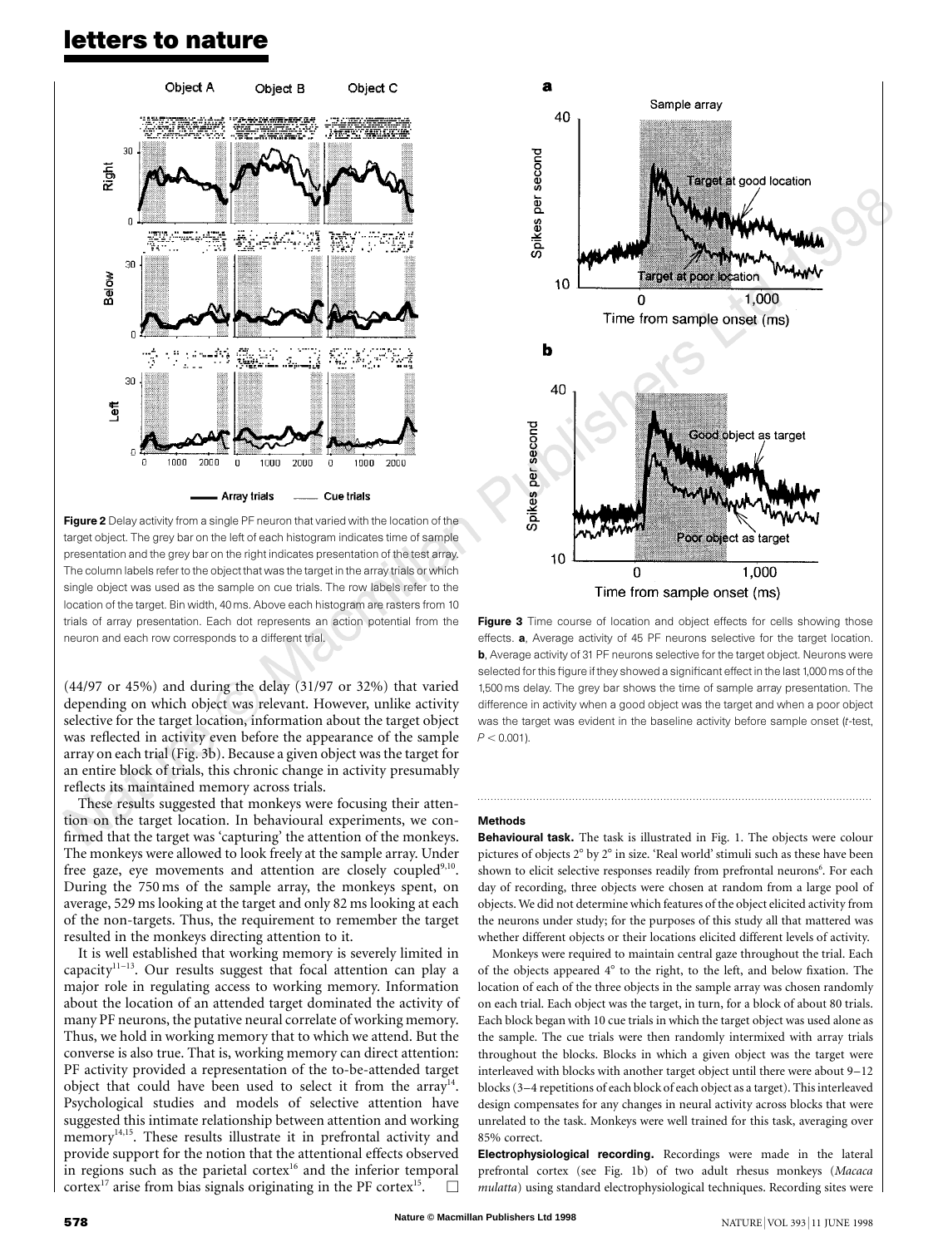### **letters to nature**



Figure 2 Delay activity from a single PF neuron that varied with the location of the target object. The grey bar on the left of each histogram indicates time of sample presentation and the grey bar on the right indicates presentation of the test array. The column labels refer to the object that was the target in the array trials or which single object was used as the sample on cue trials. The row labels refer to the location of the target. Bin width, 40 ms. Above each histogram are rasters from 10 trials of array presentation. Each dot represents an action potential from the neuron and each row corresponds to a different trial.

(44/97 or 45%) and during the delay (31/97 or 32%) that varied depending on which object was relevant. However, unlike activity selective for the target location, information about the target object was reflected in activity even before the appearance of the sample array on each trial (Fig. 3b). Because a given object was the target for an entire block of trials, this chronic change in activity presumably reflects its maintained memory across trials.

These results suggested that monkeys were focusing their attention on the target location. In behavioural experiments, we confirmed that the target was 'capturing' the attention of the monkeys. The monkeys were allowed to look freely at the sample array. Under free gaze, eye movements and attention are closely coupled $9,10$ . During the 750 ms of the sample array, the monkeys spent, on average, 529 ms looking at the target and only 82 ms looking at each of the non-targets. Thus, the requirement to remember the target resulted in the monkeys directing attention to it.

It is well established that working memory is severely limited in capacity<sup>11-13</sup>. Our results suggest that focal attention can play a major role in regulating access to working memory. Information about the location of an attended target dominated the activity of many PF neurons, the putative neural correlate of working memory. Thus, we hold in working memory that to which we attend. But the converse is also true. That is, working memory can direct attention: PF activity provided a representation of the to-be-attended target object that could have been used to select it from the  $array<sup>14</sup>$ . Psychological studies and models of selective attention have suggested this intimate relationship between attention and working memory<sup>14,15</sup>. These results illustrate it in prefrontal activity and provide support for the notion that the attentional effects observed in regions such as the parietal cortex<sup>16</sup> and the inferior temporal cortex<sup>17</sup> arise from bias signals originating in the PF cortex<sup>15</sup>.  $\Box$ 



Figure 3 Time course of location and object effects for cells showing those effects. a, Average activity of 45 PF neurons selective for the target location. b, Average activity of 31 PF neurons selective for the target object. Neurons were selected for this figure if they showed a significant effect in the last 1,000 ms of the 1,500 ms delay. The grey bar shows the time of sample array presentation. The difference in activity when a good object was the target and when a poor object was the target was evident in the baseline activity before sample onset (*t*-test,  $P < 0.001$ ).

#### Methods

Behavioural task. The task is illustrated in Fig. 1. The objects were colour pictures of objects  $2^{\circ}$  by  $2^{\circ}$  in size. 'Real world' stimuli such as these have been shown to elicit selective responses readily from prefrontal neurons<sup>6</sup>. For each day of recording, three objects were chosen at random from a large pool of objects. We did not determinewhich features of the object elicited activity from the neurons under study; for the purposes of this study all that mattered was whether different objects or their locations elicited different levels of activity.

. . . . . . . . . . . . . . . . . . . . . . . . . . . . . . . . . . . . . . . . . . . . . . . . . . . . . . . . . . . . . . . . . . . . . . . . . . . . . . . . . . . . . . . . . . . . . . . . . . . . . . . . . . . . . . . . . . . . . . . . .

Monkeys were required to maintain central gaze throughout the trial. Each of the objects appeared  $4^\circ$  to the right, to the left, and below fixation. The location of each of the three objects in the sample array was chosen randomly on each trial. Each object was the target, in turn, for a block of about 80 trials. Each block began with 10 cue trials in which the target object was used alone as the sample. The cue trials were then randomly intermixed with array trials throughout the blocks. Blocks in which a given object was the target were interleaved with blocks with another target object until there were about 9–12 blocks (3-4 repetitions of each block of each object as a target). This interleaved design compensates for any changes in neural activity across blocks that were unrelated to the task. Monkeys were well trained for this task, averaging over 85% correct.

Electrophysiological recording. Recordings were made in the lateral prefrontal cortex (see Fig. 1b) of two adult rhesus monkeys (*Macaca mulatta*) using standard electrophysiological techniques. Recording sites were